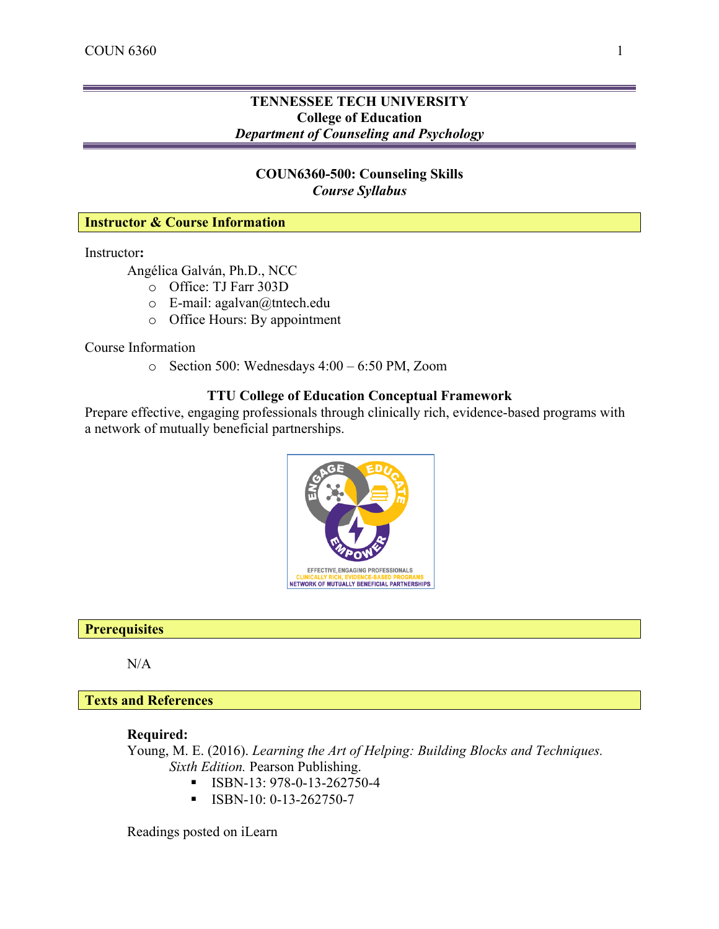# **TENNESSEE TECH UNIVERSITY College of Education** *Department of Counseling and Psychology*

# **COUN6360-500: Counseling Skills** *Course Syllabus*

#### **Instructor & Course Information**

Instructor**:** 

Angélica Galván, Ph.D., NCC

- o Office: TJ Farr 303D
- o E-mail: agalvan@tntech.edu
- o Office Hours: By appointment

Course Information

o Section 500: Wednesdays 4:00 – 6:50 PM, Zoom

## **TTU College of Education Conceptual Framework**

Prepare effective, engaging professionals through clinically rich, evidence-based programs with a network of mutually beneficial partnerships.



#### **Prerequisites**

N/A

**Texts and References**

## **Required:**

Young, M. E. (2016). *Learning the Art of Helping: Building Blocks and Techniques. Sixth Edition.* Pearson Publishing.

- § ISBN-13: 978-0-13-262750-4
- $\blacksquare$  ISBN-10: 0-13-262750-7

Readings posted on iLearn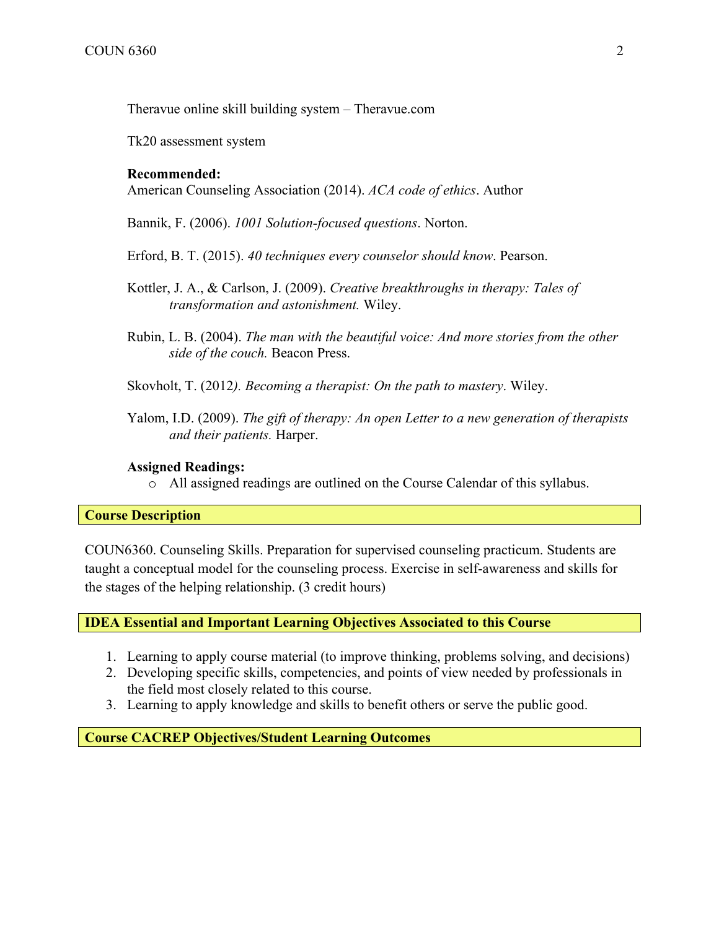Theravue online skill building system – Theravue.com

Tk20 assessment system

#### **Recommended:**

American Counseling Association (2014). *ACA code of ethics*. Author

Bannik, F. (2006). *1001 Solution-focused questions*. Norton.

Erford, B. T. (2015). *40 techniques every counselor should know*. Pearson.

- Kottler, J. A., & Carlson, J. (2009). *Creative breakthroughs in therapy: Tales of transformation and astonishment.* Wiley.
- Rubin, L. B. (2004). *The man with the beautiful voice: And more stories from the other side of the couch.* Beacon Press.

Skovholt, T. (2012*). Becoming a therapist: On the path to mastery*. Wiley.

Yalom, I.D. (2009). *The gift of therapy: An open Letter to a new generation of therapists and their patients.* Harper.

#### **Assigned Readings:**

o All assigned readings are outlined on the Course Calendar of this syllabus.

#### **Course Description**

COUN6360. Counseling Skills. Preparation for supervised counseling practicum. Students are taught a conceptual model for the counseling process. Exercise in self-awareness and skills for the stages of the helping relationship. (3 credit hours)

**IDEA Essential and Important Learning Objectives Associated to this Course**

- 1. Learning to apply course material (to improve thinking, problems solving, and decisions)
- 2. Developing specific skills, competencies, and points of view needed by professionals in the field most closely related to this course.
- 3. Learning to apply knowledge and skills to benefit others or serve the public good.

**Course CACREP Objectives/Student Learning Outcomes**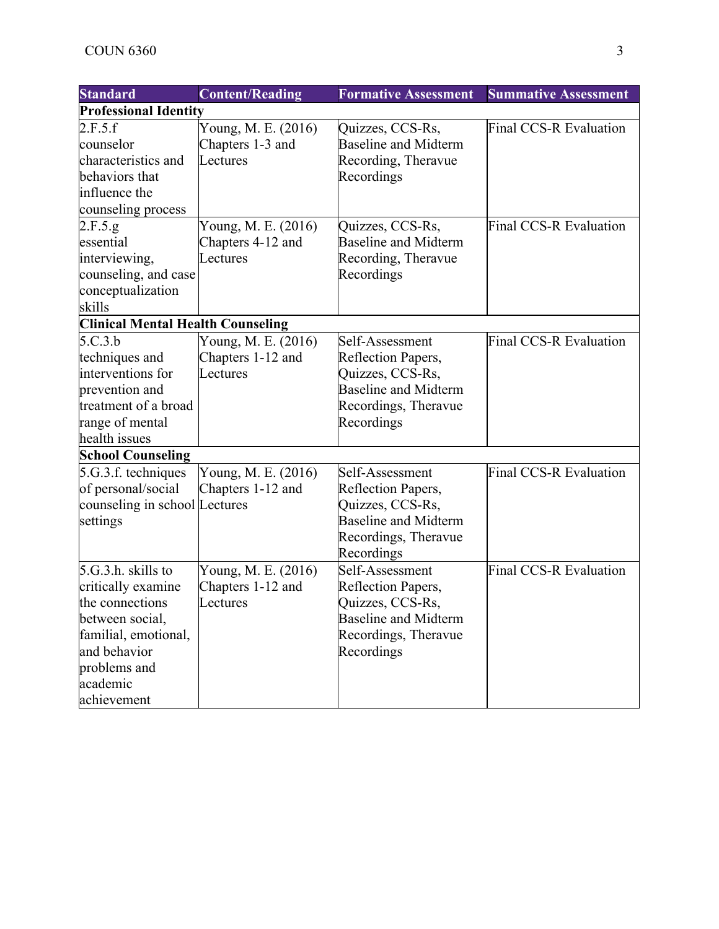| <b>Standard</b>                          | <b>Content/Reading</b>       | <b>Formative Assessment</b> | <b>Summative Assessment</b>   |  |  |
|------------------------------------------|------------------------------|-----------------------------|-------------------------------|--|--|
|                                          | <b>Professional Identity</b> |                             |                               |  |  |
| 2.F.5.f                                  | Young, M. E. (2016)          | Quizzes, CCS-Rs,            | Final CCS-R Evaluation        |  |  |
| counselor                                | Chapters 1-3 and             | <b>Baseline and Midterm</b> |                               |  |  |
| characteristics and                      | Lectures                     | Recording, Theravue         |                               |  |  |
| behaviors that                           |                              | Recordings                  |                               |  |  |
| influence the                            |                              |                             |                               |  |  |
| counseling process                       |                              |                             |                               |  |  |
| 2.F.5.g.                                 | Young, M. E. (2016)          | Quizzes, CCS-Rs,            | <b>Final CCS-R Evaluation</b> |  |  |
| essential                                | Chapters 4-12 and            | <b>Baseline and Midterm</b> |                               |  |  |
| interviewing,                            | Lectures                     | Recording, Theravue         |                               |  |  |
| counseling, and case                     |                              | Recordings                  |                               |  |  |
| conceptualization                        |                              |                             |                               |  |  |
| skills                                   |                              |                             |                               |  |  |
| <b>Clinical Mental Health Counseling</b> |                              |                             |                               |  |  |
| 5.C.3.b                                  | Young, M. E. (2016)          | Self-Assessment             | Final CCS-R Evaluation        |  |  |
| techniques and                           | Chapters 1-12 and            | Reflection Papers,          |                               |  |  |
| interventions for                        | Lectures                     | Quizzes, CCS-Rs,            |                               |  |  |
| prevention and                           |                              | <b>Baseline and Midterm</b> |                               |  |  |
| treatment of a broad                     |                              | Recordings, Theravue        |                               |  |  |
| range of mental                          |                              | Recordings                  |                               |  |  |
| health issues                            |                              |                             |                               |  |  |
| <b>School Counseling</b>                 |                              |                             |                               |  |  |
| 5.G.3.f. techniques                      | Young, M. E. (2016)          | Self-Assessment             | Final CCS-R Evaluation        |  |  |
| of personal/social                       | Chapters 1-12 and            | Reflection Papers,          |                               |  |  |
| counseling in school Lectures            |                              | Quizzes, CCS-Rs,            |                               |  |  |
| settings                                 |                              | <b>Baseline and Midterm</b> |                               |  |  |
|                                          |                              | Recordings, Theravue        |                               |  |  |
|                                          |                              | Recordings                  |                               |  |  |
| $5.G.3.h.$ skills to                     | Young, M. E. (2016)          | Self-Assessment             | <b>Final CCS-R Evaluation</b> |  |  |
| critically examine                       | Chapters 1-12 and            | Reflection Papers,          |                               |  |  |
| the connections                          | Lectures                     | Quizzes, CCS-Rs,            |                               |  |  |
| between social,                          |                              | <b>Baseline and Midterm</b> |                               |  |  |
| familial, emotional,                     |                              | Recordings, Theravue        |                               |  |  |
| and behavior                             |                              | Recordings                  |                               |  |  |
| problems and                             |                              |                             |                               |  |  |
| academic                                 |                              |                             |                               |  |  |
| achievement                              |                              |                             |                               |  |  |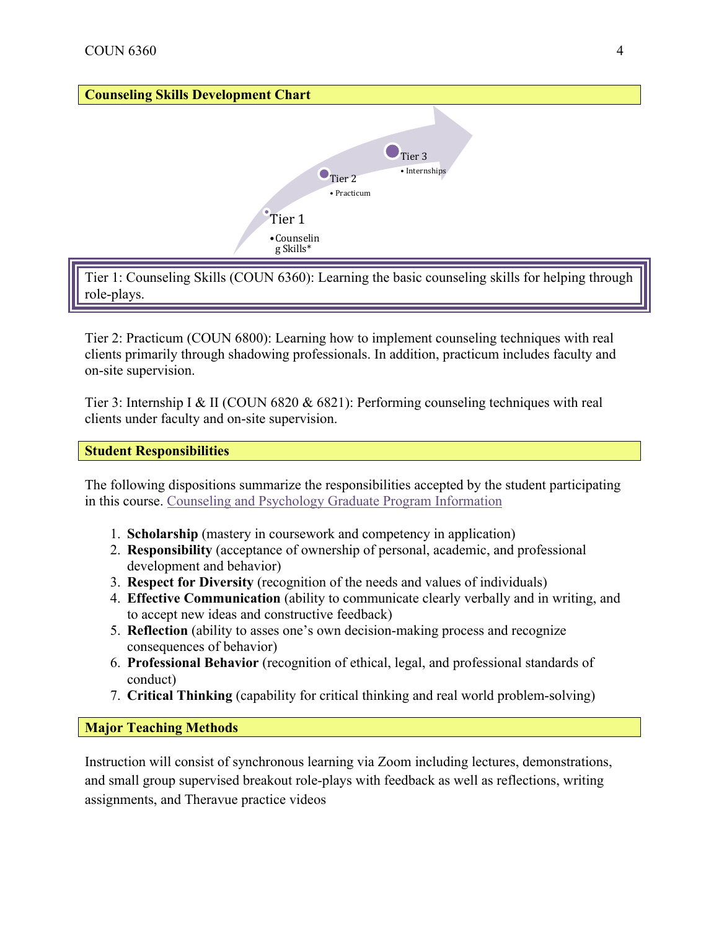# **Counseling Skills Development Chart** Tier<sub>1</sub> •Counselin g Skills\*  $\bullet$  Tier 2 • Practicum  $\bullet$  Tier 3 • Internships

Tier 1: Counseling Skills (COUN 6360): Learning the basic counseling skills for helping through role-plays.

Tier 2: Practicum (COUN 6800): Learning how to implement counseling techniques with real clients primarily through shadowing professionals. In addition, practicum includes faculty and on-site supervision.

Tier 3: Internship I & II (COUN 6820 & 6821): Performing counseling techniques with real clients under faculty and on-site supervision.

# **Student Responsibilities**

The following dispositions summarize the responsibilities accepted by the student participating in this course. Counseling and Psychology Graduate Program Information

- 1. **Scholarship** (mastery in coursework and competency in application)
- 2. **Responsibility** (acceptance of ownership of personal, academic, and professional development and behavior)
- 3. **Respect for Diversity** (recognition of the needs and values of individuals)
- 4. **Effective Communication** (ability to communicate clearly verbally and in writing, and to accept new ideas and constructive feedback)
- 5. **Reflection** (ability to asses one's own decision-making process and recognize consequences of behavior)
- 6. **Professional Behavior** (recognition of ethical, legal, and professional standards of conduct)
- 7. **Critical Thinking** (capability for critical thinking and real world problem-solving)

**Major Teaching Methods**

Instruction will consist of synchronous learning via Zoom including lectures, demonstrations, and small group supervised breakout role-plays with feedback as well as reflections, writing assignments, and Theravue practice videos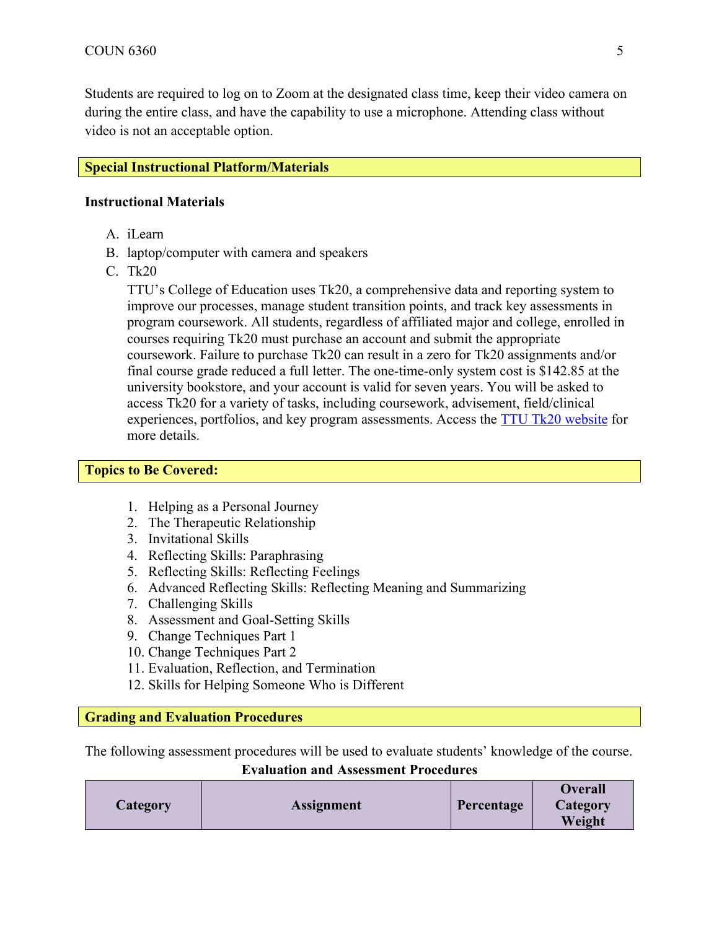Students are required to log on to Zoom at the designated class time, keep their video camera on during the entire class, and have the capability to use a microphone. Attending class without video is not an acceptable option.

#### **Special Instructional Platform/Materials**

#### **Instructional Materials**

- A. iLearn
- B. laptop/computer with camera and speakers
- C. Tk20

TTU's College of Education uses Tk20, a comprehensive data and reporting system to improve our processes, manage student transition points, and track key assessments in program coursework. All students, regardless of affiliated major and college, enrolled in courses requiring Tk20 must purchase an account and submit the appropriate coursework. Failure to purchase Tk20 can result in a zero for Tk20 assignments and/or final course grade reduced a full letter. The one-time-only system cost is \$142.85 at the university bookstore, and your account is valid for seven years. You will be asked to access Tk20 for a variety of tasks, including coursework, advisement, field/clinical experiences, portfolios, and key program assessments. Access the  $TTU$  Tk20 website for more details.

#### **Topics to Be Covered:**

- 1. Helping as a Personal Journey
- 2. The Therapeutic Relationship
- 3. Invitational Skills
- 4. Reflecting Skills: Paraphrasing
- 5. Reflecting Skills: Reflecting Feelings
- 6. Advanced Reflecting Skills: Reflecting Meaning and Summarizing
- 7. Challenging Skills
- 8. Assessment and Goal-Setting Skills
- 9. Change Techniques Part 1
- 10. Change Techniques Part 2
- 11. Evaluation, Reflection, and Termination
- 12. Skills for Helping Someone Who is Different

#### **Grading and Evaluation Procedures**

The following assessment procedures will be used to evaluate students' knowledge of the course.

**Evaluation and Assessment Procedures**

|          |                   |            | <b>Overall</b> |
|----------|-------------------|------------|----------------|
| Category | <b>Assignment</b> | Percentage | Category       |
|          |                   |            | Weight         |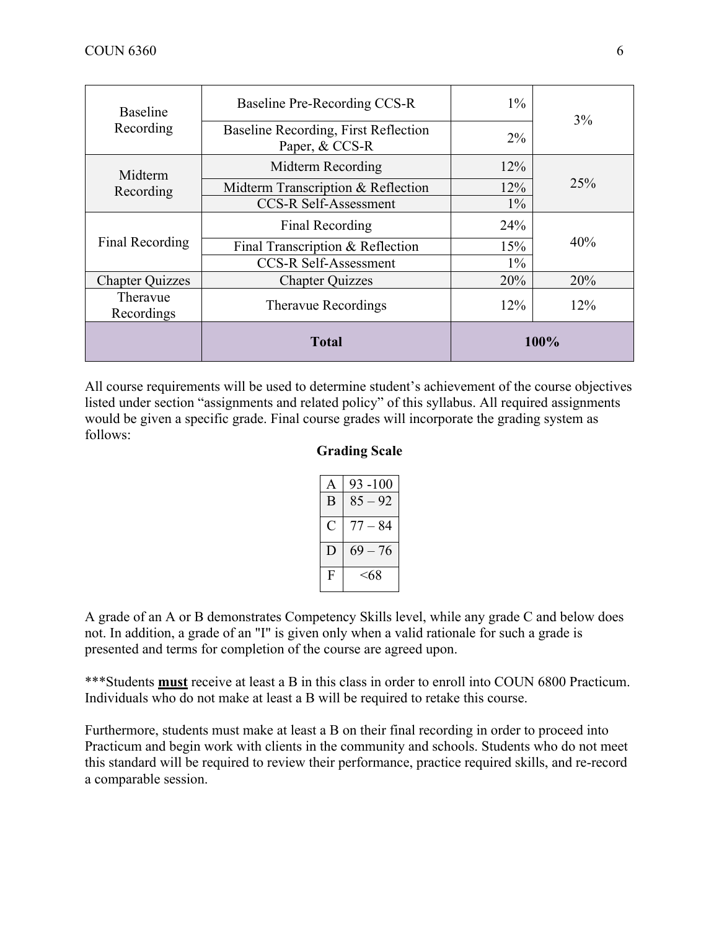| <b>Baseline</b>        | Baseline Pre-Recording CCS-R                           | $1\%$  |      |
|------------------------|--------------------------------------------------------|--------|------|
| Recording<br>Midterm   | Baseline Recording, First Reflection<br>Paper, & CCS-R | $2\%$  | 3%   |
|                        | Midterm Recording                                      | $12\%$ |      |
| Recording              | Midterm Transcription & Reflection                     | 12%    | 25%  |
| Final Recording        | <b>CCS-R Self-Assessment</b>                           | $1\%$  | 40%  |
|                        | Final Recording                                        | 24%    |      |
|                        | Final Transcription & Reflection                       | 15%    |      |
|                        | <b>CCS-R Self-Assessment</b>                           | $1\%$  |      |
| <b>Chapter Quizzes</b> | <b>Chapter Quizzes</b>                                 | 20%    | 20%  |
| Theravue<br>Recordings | <b>Theravue Recordings</b>                             | 12%    | 12%  |
|                        | <b>Total</b>                                           |        | 100% |

All course requirements will be used to determine student's achievement of the course objectives listed under section "assignments and related policy" of this syllabus. All required assignments would be given a specific grade. Final course grades will incorporate the grading system as follows:

#### **Grading Scale**

|   | 93 -100      |
|---|--------------|
| B | $85 - 92$    |
| O | -84<br>$77-$ |
| Е | $-76$<br>69  |
| F | <68          |

A grade of an A or B demonstrates Competency Skills level, while any grade C and below does not. In addition, a grade of an "I" is given only when a valid rationale for such a grade is presented and terms for completion of the course are agreed upon.

\*\*\*Students **must** receive at least a B in this class in order to enroll into COUN 6800 Practicum. Individuals who do not make at least a B will be required to retake this course.

Furthermore, students must make at least a B on their final recording in order to proceed into Practicum and begin work with clients in the community and schools. Students who do not meet this standard will be required to review their performance, practice required skills, and re-record a comparable session.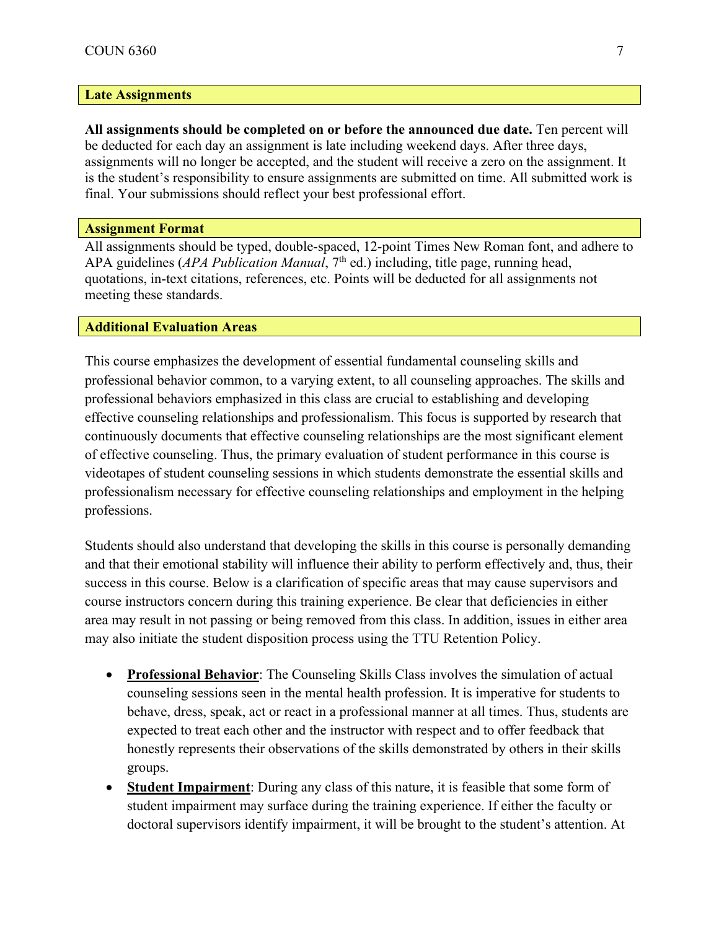#### **Late Assignments**

**All assignments should be completed on or before the announced due date.** Ten percent will be deducted for each day an assignment is late including weekend days. After three days, assignments will no longer be accepted, and the student will receive a zero on the assignment. It is the student's responsibility to ensure assignments are submitted on time. All submitted work is final. Your submissions should reflect your best professional effort.

#### **Assignment Format**

All assignments should be typed, double-spaced, 12-point Times New Roman font, and adhere to APA guidelines (*APA Publication Manual*, 7<sup>th</sup> ed.) including, title page, running head, quotations, in-text citations, references, etc. Points will be deducted for all assignments not meeting these standards.

#### **Additional Evaluation Areas**

This course emphasizes the development of essential fundamental counseling skills and professional behavior common, to a varying extent, to all counseling approaches. The skills and professional behaviors emphasized in this class are crucial to establishing and developing effective counseling relationships and professionalism. This focus is supported by research that continuously documents that effective counseling relationships are the most significant element of effective counseling. Thus, the primary evaluation of student performance in this course is videotapes of student counseling sessions in which students demonstrate the essential skills and professionalism necessary for effective counseling relationships and employment in the helping professions.

Students should also understand that developing the skills in this course is personally demanding and that their emotional stability will influence their ability to perform effectively and, thus, their success in this course. Below is a clarification of specific areas that may cause supervisors and course instructors concern during this training experience. Be clear that deficiencies in either area may result in not passing or being removed from this class. In addition, issues in either area may also initiate the student disposition process using the TTU Retention Policy.

- **Professional Behavior**: The Counseling Skills Class involves the simulation of actual counseling sessions seen in the mental health profession. It is imperative for students to behave, dress, speak, act or react in a professional manner at all times. Thus, students are expected to treat each other and the instructor with respect and to offer feedback that honestly represents their observations of the skills demonstrated by others in their skills groups.
- **Student Impairment:** During any class of this nature, it is feasible that some form of student impairment may surface during the training experience. If either the faculty or doctoral supervisors identify impairment, it will be brought to the student's attention. At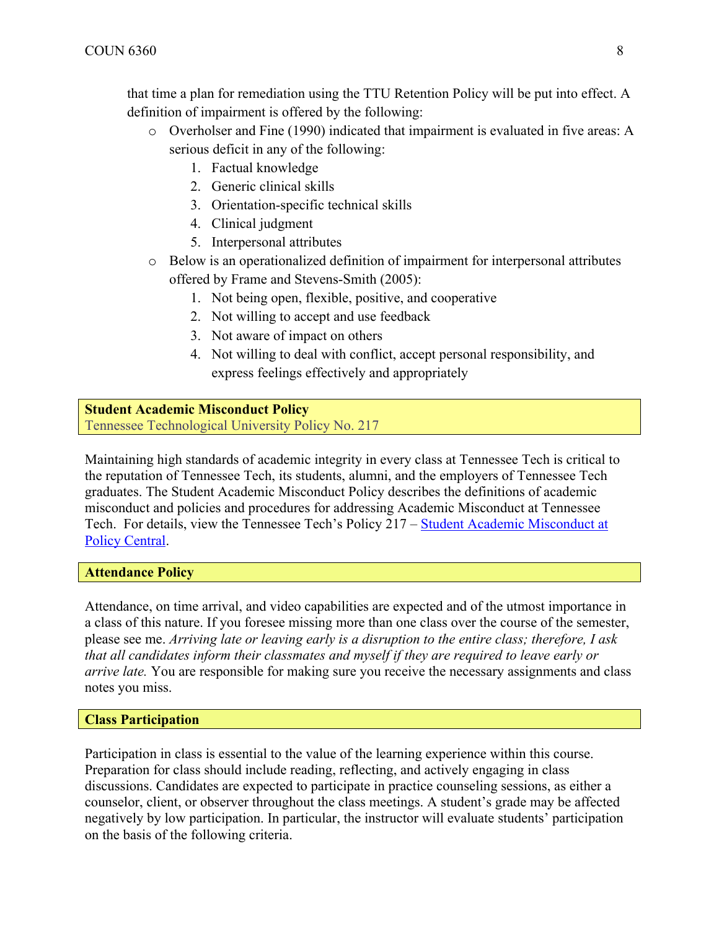that time a plan for remediation using the TTU Retention Policy will be put into effect. A definition of impairment is offered by the following:

- o Overholser and Fine (1990) indicated that impairment is evaluated in five areas: A serious deficit in any of the following:
	- 1. Factual knowledge
	- 2. Generic clinical skills
	- 3. Orientation-specific technical skills
	- 4. Clinical judgment
	- 5. Interpersonal attributes
- o Below is an operationalized definition of impairment for interpersonal attributes offered by Frame and Stevens-Smith (2005):
	- 1. Not being open, flexible, positive, and cooperative
	- 2. Not willing to accept and use feedback
	- 3. Not aware of impact on others
	- 4. Not willing to deal with conflict, accept personal responsibility, and express feelings effectively and appropriately

#### **Student Academic Misconduct Policy**  Tennessee Technological University Policy No. 217

Maintaining high standards of academic integrity in every class at Tennessee Tech is critical to the reputation of Tennessee Tech, its students, alumni, and the employers of Tennessee Tech graduates. The Student Academic Misconduct Policy describes the definitions of academic misconduct and policies and procedures for addressing Academic Misconduct at Tennessee Tech. For details, view the Tennessee Tech's Policy 217 – Student Academic Misconduct at Policy Central.

#### **Attendance Policy**

Attendance, on time arrival, and video capabilities are expected and of the utmost importance in a class of this nature. If you foresee missing more than one class over the course of the semester, please see me. *Arriving late or leaving early is a disruption to the entire class; therefore, I ask that all candidates inform their classmates and myself if they are required to leave early or arrive late.* You are responsible for making sure you receive the necessary assignments and class notes you miss.

#### **Class Participation**

Participation in class is essential to the value of the learning experience within this course. Preparation for class should include reading, reflecting, and actively engaging in class discussions. Candidates are expected to participate in practice counseling sessions, as either a counselor, client, or observer throughout the class meetings. A student's grade may be affected negatively by low participation. In particular, the instructor will evaluate students' participation on the basis of the following criteria.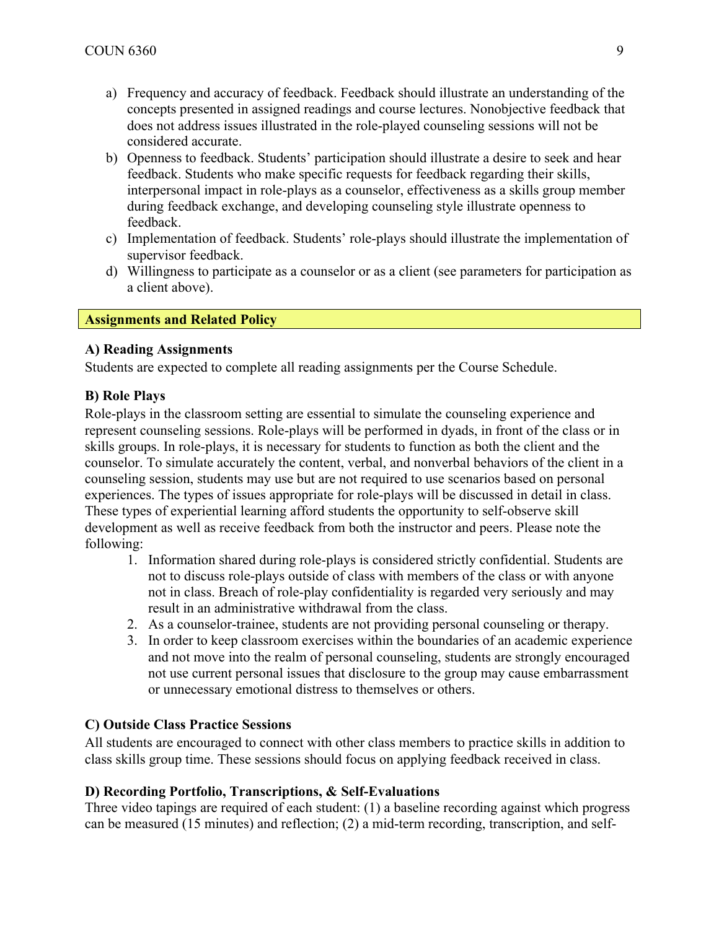- a) Frequency and accuracy of feedback. Feedback should illustrate an understanding of the concepts presented in assigned readings and course lectures. Nonobjective feedback that does not address issues illustrated in the role-played counseling sessions will not be considered accurate.
- b) Openness to feedback. Students' participation should illustrate a desire to seek and hear feedback. Students who make specific requests for feedback regarding their skills, interpersonal impact in role-plays as a counselor, effectiveness as a skills group member during feedback exchange, and developing counseling style illustrate openness to feedback.
- c) Implementation of feedback. Students' role-plays should illustrate the implementation of supervisor feedback.
- d) Willingness to participate as a counselor or as a client (see parameters for participation as a client above).

## **Assignments and Related Policy**

#### **A) Reading Assignments**

Students are expected to complete all reading assignments per the Course Schedule.

## **B) Role Plays**

Role-plays in the classroom setting are essential to simulate the counseling experience and represent counseling sessions. Role-plays will be performed in dyads, in front of the class or in skills groups. In role-plays, it is necessary for students to function as both the client and the counselor. To simulate accurately the content, verbal, and nonverbal behaviors of the client in a counseling session, students may use but are not required to use scenarios based on personal experiences. The types of issues appropriate for role-plays will be discussed in detail in class. These types of experiential learning afford students the opportunity to self-observe skill development as well as receive feedback from both the instructor and peers. Please note the following:

- 1. Information shared during role-plays is considered strictly confidential. Students are not to discuss role-plays outside of class with members of the class or with anyone not in class. Breach of role-play confidentiality is regarded very seriously and may result in an administrative withdrawal from the class.
- 2. As a counselor-trainee, students are not providing personal counseling or therapy.
- 3. In order to keep classroom exercises within the boundaries of an academic experience and not move into the realm of personal counseling, students are strongly encouraged not use current personal issues that disclosure to the group may cause embarrassment or unnecessary emotional distress to themselves or others.

#### **C) Outside Class Practice Sessions**

All students are encouraged to connect with other class members to practice skills in addition to class skills group time. These sessions should focus on applying feedback received in class.

#### **D) Recording Portfolio, Transcriptions, & Self-Evaluations**

Three video tapings are required of each student: (1) a baseline recording against which progress can be measured (15 minutes) and reflection; (2) a mid-term recording, transcription, and self-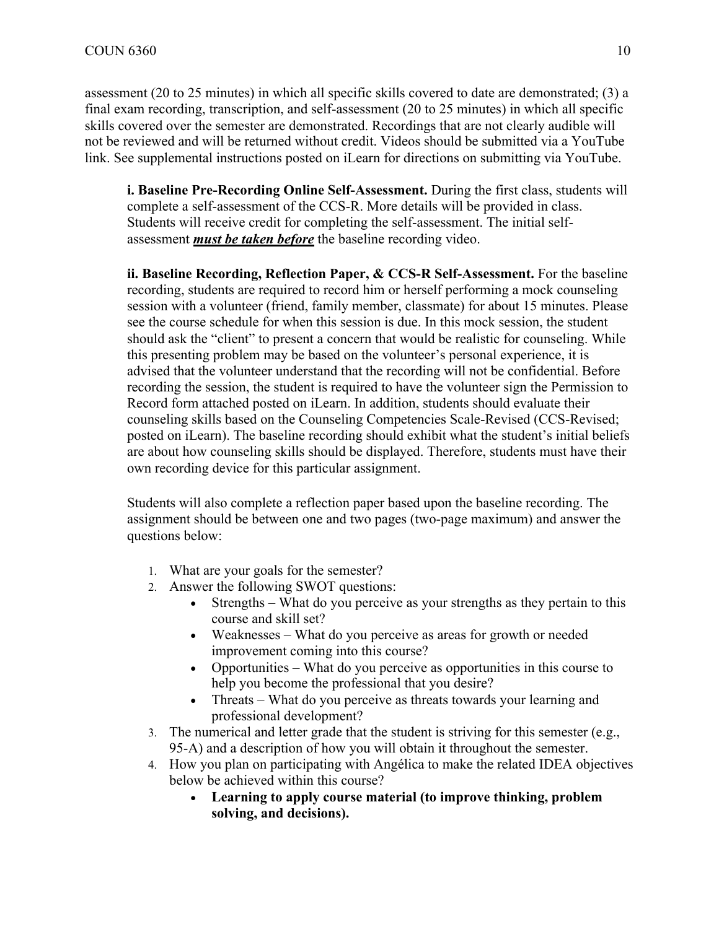assessment (20 to 25 minutes) in which all specific skills covered to date are demonstrated; (3) a final exam recording, transcription, and self-assessment (20 to 25 minutes) in which all specific skills covered over the semester are demonstrated. Recordings that are not clearly audible will not be reviewed and will be returned without credit. Videos should be submitted via a YouTube link. See supplemental instructions posted on iLearn for directions on submitting via YouTube.

**i. Baseline Pre-Recording Online Self-Assessment.** During the first class, students will complete a self-assessment of the CCS-R. More details will be provided in class. Students will receive credit for completing the self-assessment. The initial selfassessment *must be taken before* the baseline recording video.

**ii. Baseline Recording, Reflection Paper, & CCS-R Self-Assessment.** For the baseline recording, students are required to record him or herself performing a mock counseling session with a volunteer (friend, family member, classmate) for about 15 minutes. Please see the course schedule for when this session is due. In this mock session, the student should ask the "client" to present a concern that would be realistic for counseling. While this presenting problem may be based on the volunteer's personal experience, it is advised that the volunteer understand that the recording will not be confidential. Before recording the session, the student is required to have the volunteer sign the Permission to Record form attached posted on iLearn. In addition, students should evaluate their counseling skills based on the Counseling Competencies Scale-Revised (CCS-Revised; posted on iLearn). The baseline recording should exhibit what the student's initial beliefs are about how counseling skills should be displayed. Therefore, students must have their own recording device for this particular assignment.

Students will also complete a reflection paper based upon the baseline recording. The assignment should be between one and two pages (two-page maximum) and answer the questions below:

- 1. What are your goals for the semester?
- 2. Answer the following SWOT questions:
	- Strengths What do you perceive as your strengths as they pertain to this course and skill set?
	- Weaknesses What do you perceive as areas for growth or needed improvement coming into this course?
	- Opportunities What do you perceive as opportunities in this course to help you become the professional that you desire?
	- Threats What do you perceive as threats towards your learning and professional development?
- 3. The numerical and letter grade that the student is striving for this semester (e.g., 95-A) and a description of how you will obtain it throughout the semester.
- 4. How you plan on participating with Angélica to make the related IDEA objectives below be achieved within this course?
	- **Learning to apply course material (to improve thinking, problem solving, and decisions).**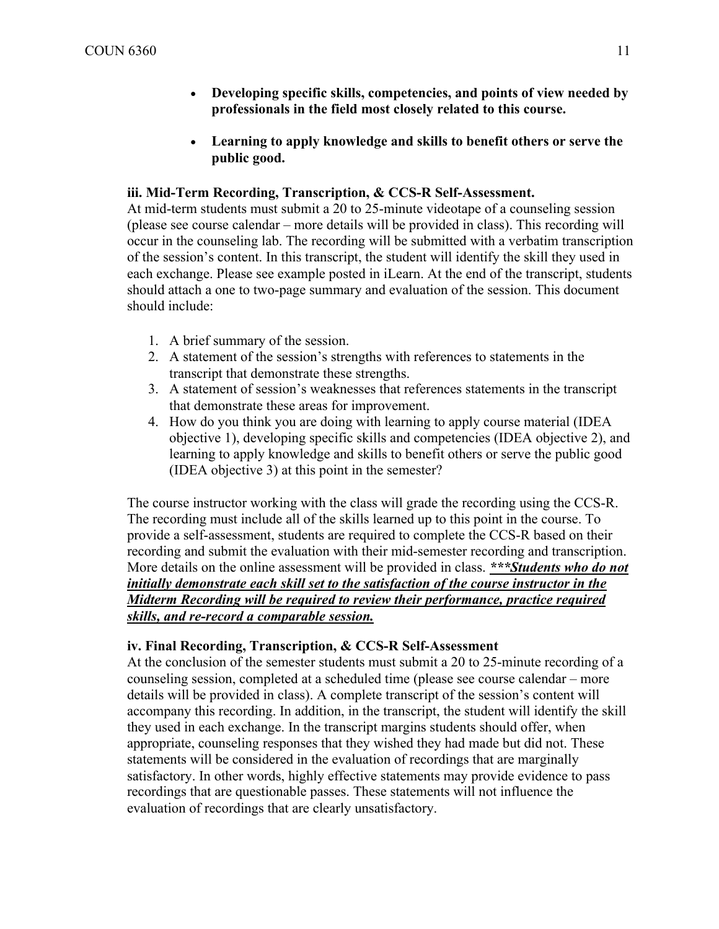- **Developing specific skills, competencies, and points of view needed by professionals in the field most closely related to this course.**
- **Learning to apply knowledge and skills to benefit others or serve the public good.**

#### **iii. Mid-Term Recording, Transcription, & CCS-R Self-Assessment.**

At mid-term students must submit a 20 to 25-minute videotape of a counseling session (please see course calendar – more details will be provided in class). This recording will occur in the counseling lab. The recording will be submitted with a verbatim transcription of the session's content. In this transcript, the student will identify the skill they used in each exchange. Please see example posted in iLearn. At the end of the transcript, students should attach a one to two-page summary and evaluation of the session. This document should include:

- 1. A brief summary of the session.
- 2. A statement of the session's strengths with references to statements in the transcript that demonstrate these strengths.
- 3. A statement of session's weaknesses that references statements in the transcript that demonstrate these areas for improvement.
- 4. How do you think you are doing with learning to apply course material (IDEA objective 1), developing specific skills and competencies (IDEA objective 2), and learning to apply knowledge and skills to benefit others or serve the public good (IDEA objective 3) at this point in the semester?

The course instructor working with the class will grade the recording using the CCS-R. The recording must include all of the skills learned up to this point in the course. To provide a self-assessment, students are required to complete the CCS-R based on their recording and submit the evaluation with their mid-semester recording and transcription. More details on the online assessment will be provided in class. *\*\*\*Students who do not initially demonstrate each skill set to the satisfaction of the course instructor in the Midterm Recording will be required to review their performance, practice required skills, and re-record a comparable session.*

## **iv. Final Recording, Transcription, & CCS-R Self-Assessment**

At the conclusion of the semester students must submit a 20 to 25-minute recording of a counseling session, completed at a scheduled time (please see course calendar – more details will be provided in class). A complete transcript of the session's content will accompany this recording. In addition, in the transcript, the student will identify the skill they used in each exchange. In the transcript margins students should offer, when appropriate, counseling responses that they wished they had made but did not. These statements will be considered in the evaluation of recordings that are marginally satisfactory. In other words, highly effective statements may provide evidence to pass recordings that are questionable passes. These statements will not influence the evaluation of recordings that are clearly unsatisfactory.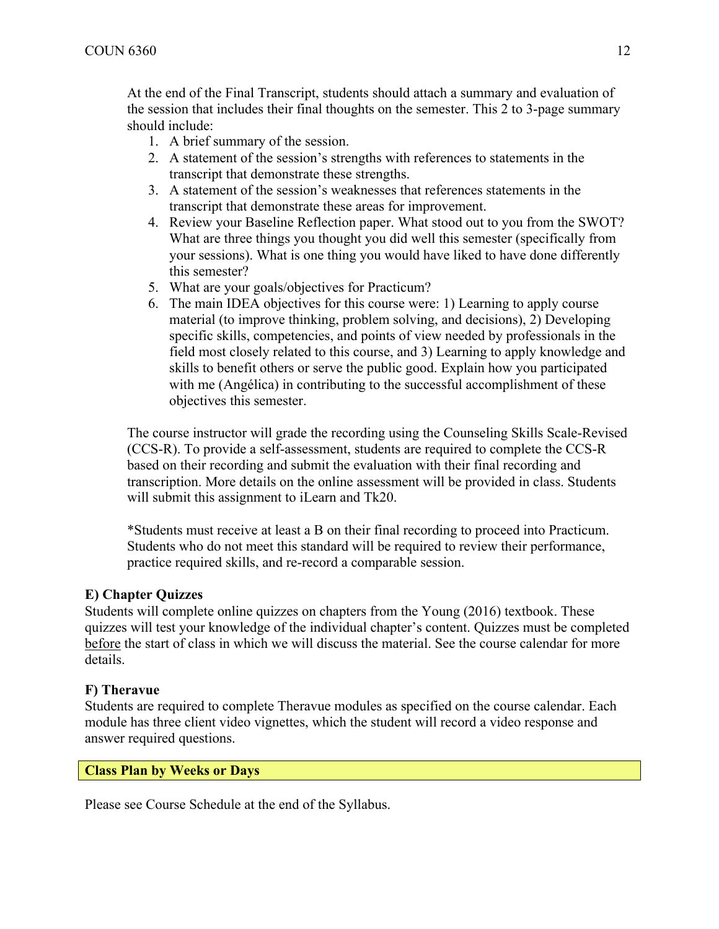At the end of the Final Transcript, students should attach a summary and evaluation of the session that includes their final thoughts on the semester. This 2 to 3-page summary should include:

- 1. A brief summary of the session.
- 2. A statement of the session's strengths with references to statements in the transcript that demonstrate these strengths.
- 3. A statement of the session's weaknesses that references statements in the transcript that demonstrate these areas for improvement.
- 4. Review your Baseline Reflection paper. What stood out to you from the SWOT? What are three things you thought you did well this semester (specifically from your sessions). What is one thing you would have liked to have done differently this semester?
- 5. What are your goals/objectives for Practicum?
- 6. The main IDEA objectives for this course were: 1) Learning to apply course material (to improve thinking, problem solving, and decisions), 2) Developing specific skills, competencies, and points of view needed by professionals in the field most closely related to this course, and 3) Learning to apply knowledge and skills to benefit others or serve the public good. Explain how you participated with me (Angélica) in contributing to the successful accomplishment of these objectives this semester.

The course instructor will grade the recording using the Counseling Skills Scale-Revised (CCS-R). To provide a self-assessment, students are required to complete the CCS-R based on their recording and submit the evaluation with their final recording and transcription. More details on the online assessment will be provided in class. Students will submit this assignment to iLearn and Tk20.

\*Students must receive at least a B on their final recording to proceed into Practicum. Students who do not meet this standard will be required to review their performance, practice required skills, and re-record a comparable session.

# **E) Chapter Quizzes**

Students will complete online quizzes on chapters from the Young (2016) textbook. These quizzes will test your knowledge of the individual chapter's content. Quizzes must be completed before the start of class in which we will discuss the material. See the course calendar for more details.

## **F) Theravue**

Students are required to complete Theravue modules as specified on the course calendar. Each module has three client video vignettes, which the student will record a video response and answer required questions.

## **Class Plan by Weeks or Days**

Please see Course Schedule at the end of the Syllabus.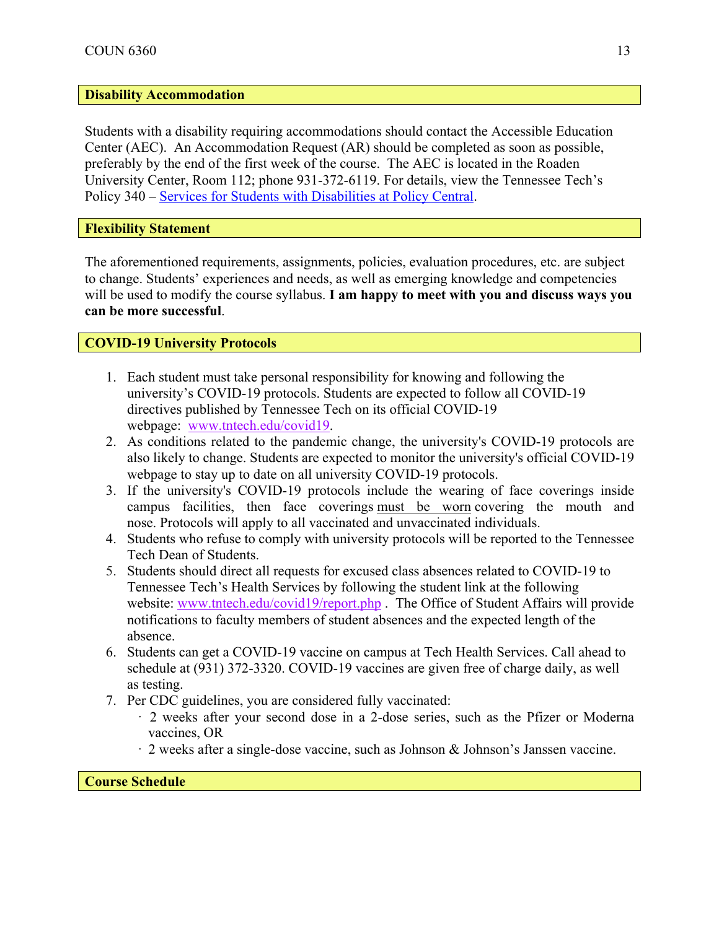# **Disability Accommodation**

Students with a disability requiring accommodations should contact the Accessible Education Center (AEC). An Accommodation Request (AR) should be completed as soon as possible, preferably by the end of the first week of the course. The AEC is located in the Roaden University Center, Room 112; phone 931-372-6119. For details, view the Tennessee Tech's Policy 340 – Services for Students with Disabilities at Policy Central.

**Flexibility Statement**

The aforementioned requirements, assignments, policies, evaluation procedures, etc. are subject to change. Students' experiences and needs, as well as emerging knowledge and competencies will be used to modify the course syllabus. **I am happy to meet with you and discuss ways you can be more successful**.

## **COVID-19 University Protocols**

- 1. Each student must take personal responsibility for knowing and following the university's COVID-19 protocols. Students are expected to follow all COVID-19 directives published by Tennessee Tech on its official COVID-19 webpage: www.tntech.edu/covid19.
- 2. As conditions related to the pandemic change, the university's COVID-19 protocols are also likely to change. Students are expected to monitor the university's official COVID-19 webpage to stay up to date on all university COVID-19 protocols.
- 3. If the university's COVID-19 protocols include the wearing of face coverings inside campus facilities, then face coverings must be worn covering the mouth and nose. Protocols will apply to all vaccinated and unvaccinated individuals.
- 4. Students who refuse to comply with university protocols will be reported to the Tennessee Tech Dean of Students.
- 5. Students should direct all requests for excused class absences related to COVID-19 to Tennessee Tech's Health Services by following the student link at the following website: www.tntech.edu/covid19/report.php. The Office of Student Affairs will provide notifications to faculty members of student absences and the expected length of the absence.
- 6. Students can get a COVID-19 vaccine on campus at Tech Health Services. Call ahead to schedule at (931) 372-3320. COVID-19 vaccines are given free of charge daily, as well as testing.
- 7. Per CDC guidelines, you are considered fully vaccinated:
	- · 2 weeks after your second dose in a 2-dose series, such as the Pfizer or Moderna vaccines, OR
	- · 2 weeks after a single-dose vaccine, such as Johnson & Johnson's Janssen vaccine.

#### **Course Schedule**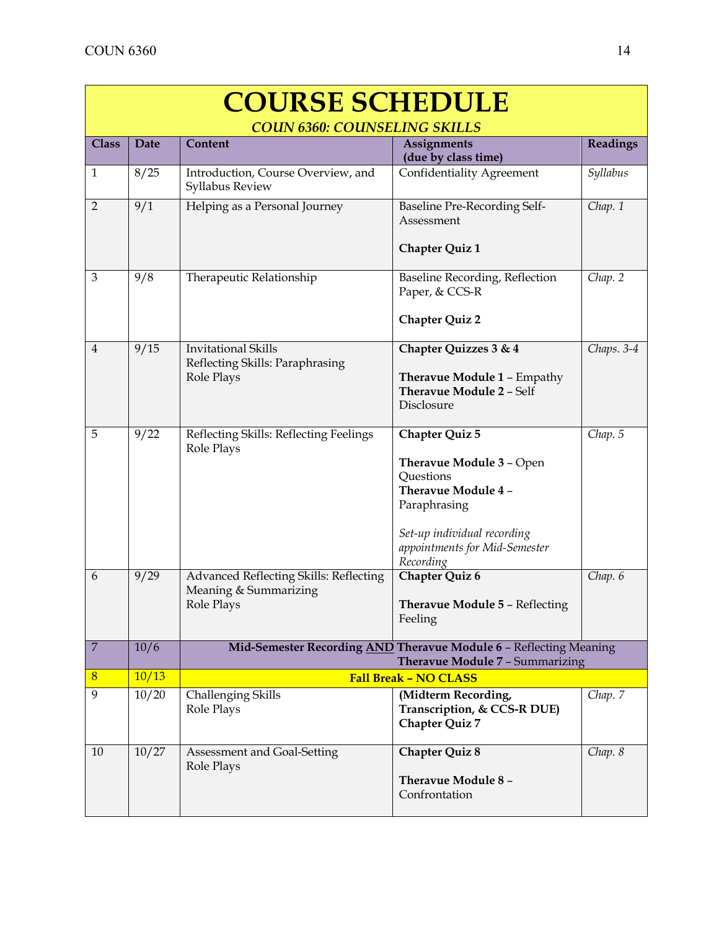| <b>COURSE SCHEDULE</b> |                                     |                                                                                                             |                                                                                                |            |
|------------------------|-------------------------------------|-------------------------------------------------------------------------------------------------------------|------------------------------------------------------------------------------------------------|------------|
|                        | <b>COUN 6360: COUNSELING SKILLS</b> |                                                                                                             |                                                                                                |            |
| <b>Class</b>           | <b>Date</b>                         | Content                                                                                                     | <b>Assignments</b>                                                                             | Readings   |
|                        |                                     |                                                                                                             | (due by class time)                                                                            |            |
| $\mathbf{1}$           | 8/25                                | Introduction, Course Overview, and<br>Syllabus Review                                                       | <b>Confidentiality Agreement</b>                                                               | Syllabus   |
| $\overline{2}$         | 9/1                                 | Helping as a Personal Journey                                                                               | Baseline Pre-Recording Self-<br>Assessment                                                     | Chap. 1    |
|                        |                                     |                                                                                                             | <b>Chapter Quiz 1</b>                                                                          |            |
| $\mathfrak{Z}$         | 9/8                                 | Therapeutic Relationship                                                                                    | Baseline Recording, Reflection<br>Paper, & CCS-R                                               | Chap. 2    |
|                        |                                     |                                                                                                             | <b>Chapter Quiz 2</b>                                                                          |            |
| $\overline{4}$         | 9/15                                | <b>Invitational Skills</b><br>Reflecting Skills: Paraphrasing                                               | Chapter Quizzes 3 & 4                                                                          | Chaps. 3-4 |
|                        |                                     | Role Plays                                                                                                  | Theravue Module 1 - Empathy<br><b>Theravue Module 2 - Self</b><br>Disclosure                   |            |
| 5                      | 9/22                                |                                                                                                             |                                                                                                |            |
|                        |                                     | Reflecting Skills: Reflecting Feelings<br>Role Plays                                                        | Chapter Quiz 5<br>Theravue Module 3 - Open<br>Questions<br>Theravue Module 4 -<br>Paraphrasing | Chap. 5    |
|                        |                                     |                                                                                                             | Set-up individual recording<br>appointments for Mid-Semester<br>Recording                      |            |
| 6                      | 9/29                                | Advanced Reflecting Skills: Reflecting<br>Meaning & Summarizing<br>Role Plays                               | Chapter Quiz 6<br><b>Theravue Module 5 - Reflecting</b><br>Feeling                             | Chap. 6    |
| $\boldsymbol{7}$       | 10/6                                | Mid-Semester Recording AND Theravue Module 6 - Reflecting Meaning<br><b>Theravue Module 7 - Summarizing</b> |                                                                                                |            |
| 8                      | 10/13                               | <b>Fall Break - NO CLASS</b>                                                                                |                                                                                                |            |
| 9                      | 10/20                               | Challenging Skills<br>Role Plays                                                                            | (Midterm Recording,<br>Transcription, & CCS-R DUE)<br><b>Chapter Quiz 7</b>                    | Chap. 7    |
| 10                     | 10/27                               | Assessment and Goal-Setting<br>Role Plays                                                                   | <b>Chapter Quiz 8</b><br>Theravue Module 8 -<br>Confrontation                                  | Chap. 8    |